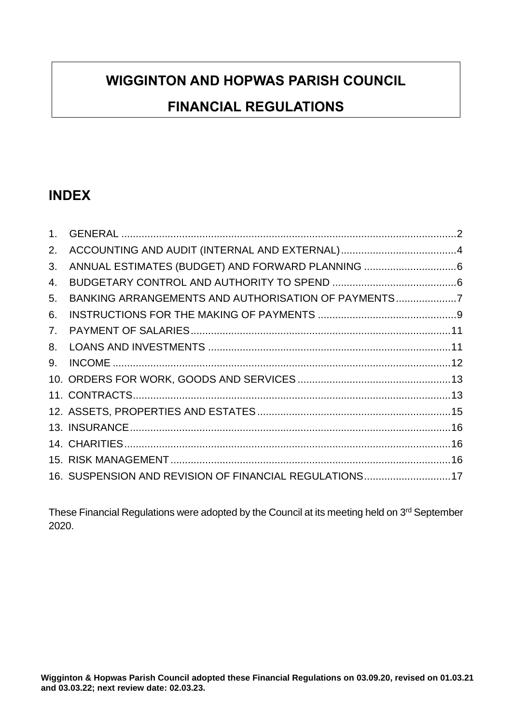# **WIGGINTON AND HOPWAS PARISH COUNCIL**

## **FINANCIAL REGULATIONS**

## **INDEX**

| 1 <sup>1</sup> |                                                        |  |
|----------------|--------------------------------------------------------|--|
| 2.             |                                                        |  |
| 3.             |                                                        |  |
| 4.             |                                                        |  |
| 5.             | BANKING ARRANGEMENTS AND AUTHORISATION OF PAYMENTS7    |  |
| 6.             |                                                        |  |
| 7.             |                                                        |  |
| 8.             |                                                        |  |
| 9.             |                                                        |  |
|                |                                                        |  |
|                |                                                        |  |
|                |                                                        |  |
|                |                                                        |  |
|                |                                                        |  |
|                |                                                        |  |
|                | 16. SUSPENSION AND REVISION OF FINANCIAL REGULATIONS17 |  |

These Financial Regulations were adopted by the Council at its meeting held on 3<sup>rd</sup> September 2020.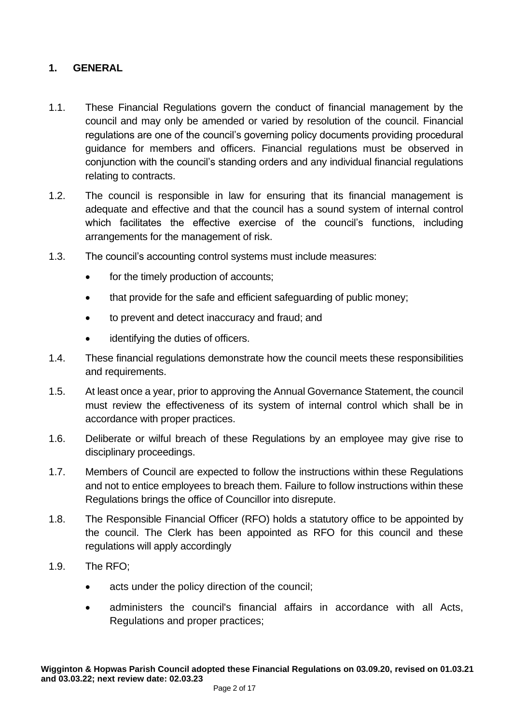#### <span id="page-1-0"></span>**1. GENERAL**

- 1.1. These Financial Regulations govern the conduct of financial management by the council and may only be amended or varied by resolution of the council. Financial regulations are one of the council's governing policy documents providing procedural guidance for members and officers. Financial regulations must be observed in conjunction with the council's standing orders and any individual financial regulations relating to contracts.
- 1.2. The council is responsible in law for ensuring that its financial management is adequate and effective and that the council has a sound system of internal control which facilitates the effective exercise of the council's functions, including arrangements for the management of risk.
- 1.3. The council's accounting control systems must include measures:
	- for the timely production of accounts;
	- that provide for the safe and efficient safeguarding of public money;
	- to prevent and detect inaccuracy and fraud; and
	- identifying the duties of officers.
- 1.4. These financial regulations demonstrate how the council meets these responsibilities and requirements.
- 1.5. At least once a year, prior to approving the Annual Governance Statement, the council must review the effectiveness of its system of internal control which shall be in accordance with proper practices.
- 1.6. Deliberate or wilful breach of these Regulations by an employee may give rise to disciplinary proceedings.
- 1.7. Members of Council are expected to follow the instructions within these Regulations and not to entice employees to breach them. Failure to follow instructions within these Regulations brings the office of Councillor into disrepute.
- 1.8. The Responsible Financial Officer (RFO) holds a statutory office to be appointed by the council. The Clerk has been appointed as RFO for this council and these regulations will apply accordingly
- 1.9. The RFO;
	- acts under the policy direction of the council;
	- administers the council's financial affairs in accordance with all Acts, Regulations and proper practices;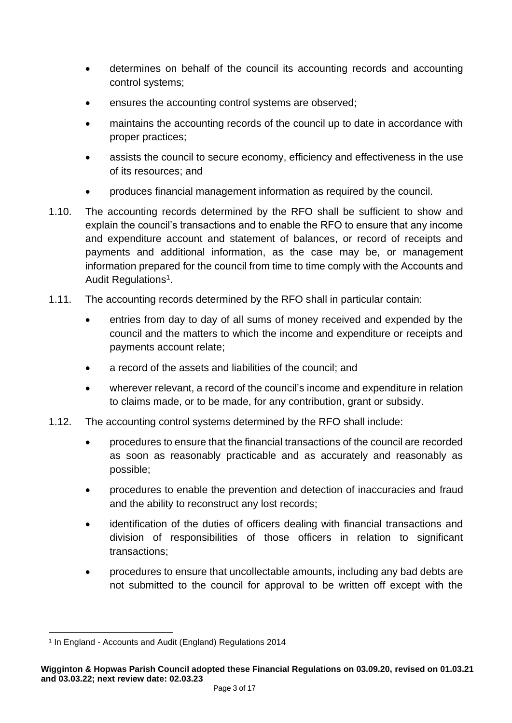- determines on behalf of the council its accounting records and accounting control systems;
- ensures the accounting control systems are observed;
- maintains the accounting records of the council up to date in accordance with proper practices;
- assists the council to secure economy, efficiency and effectiveness in the use of its resources; and
- produces financial management information as required by the council.
- 1.10. The accounting records determined by the RFO shall be sufficient to show and explain the council's transactions and to enable the RFO to ensure that any income and expenditure account and statement of balances, or record of receipts and payments and additional information, as the case may be, or management information prepared for the council from time to time comply with the Accounts and Audit Regulations<sup>1</sup>.
- 1.11. The accounting records determined by the RFO shall in particular contain:
	- entries from day to day of all sums of money received and expended by the council and the matters to which the income and expenditure or receipts and payments account relate;
	- a record of the assets and liabilities of the council; and
	- wherever relevant, a record of the council's income and expenditure in relation to claims made, or to be made, for any contribution, grant or subsidy.
- 1.12. The accounting control systems determined by the RFO shall include:
	- procedures to ensure that the financial transactions of the council are recorded as soon as reasonably practicable and as accurately and reasonably as possible;
	- procedures to enable the prevention and detection of inaccuracies and fraud and the ability to reconstruct any lost records;
	- identification of the duties of officers dealing with financial transactions and division of responsibilities of those officers in relation to significant transactions;
	- procedures to ensure that uncollectable amounts, including any bad debts are not submitted to the council for approval to be written off except with the

<sup>1</sup> In England - Accounts and Audit (England) Regulations 2014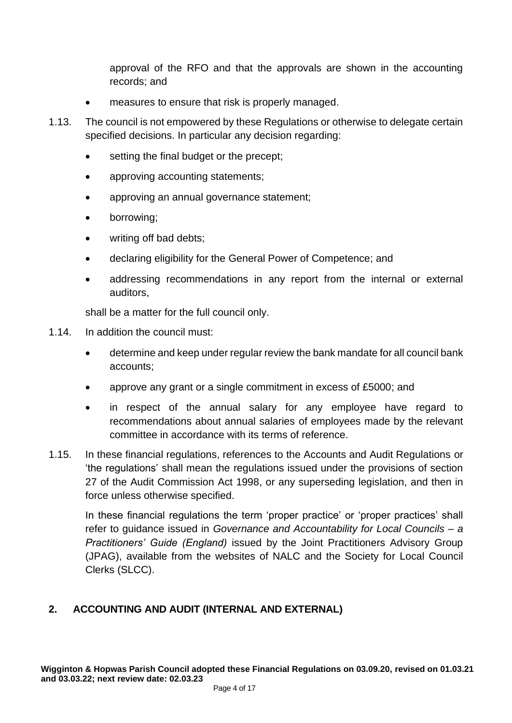approval of the RFO and that the approvals are shown in the accounting records; and

- measures to ensure that risk is properly managed.
- 1.13. The council is not empowered by these Regulations or otherwise to delegate certain specified decisions. In particular any decision regarding:
	- setting the final budget or the precept;
	- approving accounting statements;
	- approving an annual governance statement;
	- borrowing;
	- writing off bad debts:
	- declaring eligibility for the General Power of Competence; and
	- addressing recommendations in any report from the internal or external auditors,

shall be a matter for the full council only.

- 1.14. In addition the council must:
	- determine and keep under regular review the bank mandate for all council bank accounts;
	- approve any grant or a single commitment in excess of £5000; and
	- in respect of the annual salary for any employee have regard to recommendations about annual salaries of employees made by the relevant committee in accordance with its terms of reference.
- 1.15. In these financial regulations, references to the Accounts and Audit Regulations or 'the regulations' shall mean the regulations issued under the provisions of section 27 of the Audit Commission Act 1998, or any superseding legislation, and then in force unless otherwise specified.

In these financial regulations the term 'proper practice' or 'proper practices' shall refer to guidance issued in *Governance and Accountability for Local Councils – a Practitioners' Guide (England)* issued by the Joint Practitioners Advisory Group (JPAG), available from the websites of NALC and the Society for Local Council Clerks (SLCC).

#### <span id="page-3-0"></span>**2. ACCOUNTING AND AUDIT (INTERNAL AND EXTERNAL)**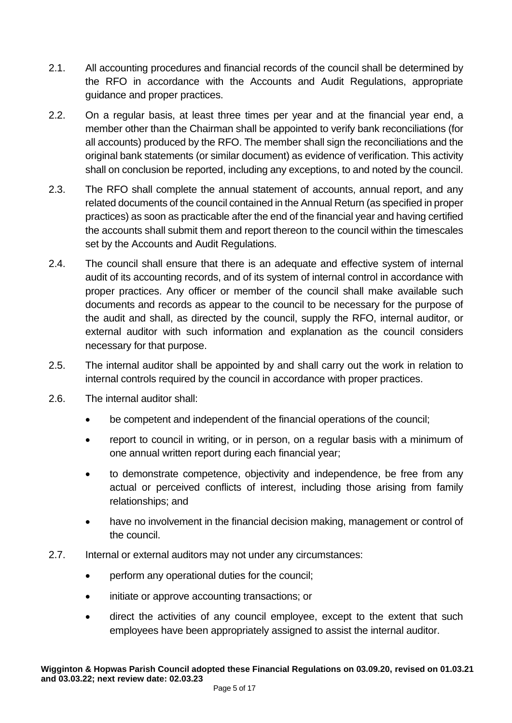- 2.1. All accounting procedures and financial records of the council shall be determined by the RFO in accordance with the Accounts and Audit Regulations, appropriate guidance and proper practices.
- 2.2. On a regular basis, at least three times per year and at the financial year end, a member other than the Chairman shall be appointed to verify bank reconciliations (for all accounts) produced by the RFO. The member shall sign the reconciliations and the original bank statements (or similar document) as evidence of verification. This activity shall on conclusion be reported, including any exceptions, to and noted by the council.
- 2.3. The RFO shall complete the annual statement of accounts, annual report, and any related documents of the council contained in the Annual Return (as specified in proper practices) as soon as practicable after the end of the financial year and having certified the accounts shall submit them and report thereon to the council within the timescales set by the Accounts and Audit Regulations.
- 2.4. The council shall ensure that there is an adequate and effective system of internal audit of its accounting records, and of its system of internal control in accordance with proper practices. Any officer or member of the council shall make available such documents and records as appear to the council to be necessary for the purpose of the audit and shall, as directed by the council, supply the RFO, internal auditor, or external auditor with such information and explanation as the council considers necessary for that purpose.
- 2.5. The internal auditor shall be appointed by and shall carry out the work in relation to internal controls required by the council in accordance with proper practices.
- 2.6. The internal auditor shall:
	- be competent and independent of the financial operations of the council;
	- report to council in writing, or in person, on a regular basis with a minimum of one annual written report during each financial year;
	- to demonstrate competence, objectivity and independence, be free from any actual or perceived conflicts of interest, including those arising from family relationships; and
	- have no involvement in the financial decision making, management or control of the council.
- 2.7. Internal or external auditors may not under any circumstances:
	- perform any operational duties for the council;
	- initiate or approve accounting transactions; or
	- direct the activities of any council employee, except to the extent that such employees have been appropriately assigned to assist the internal auditor.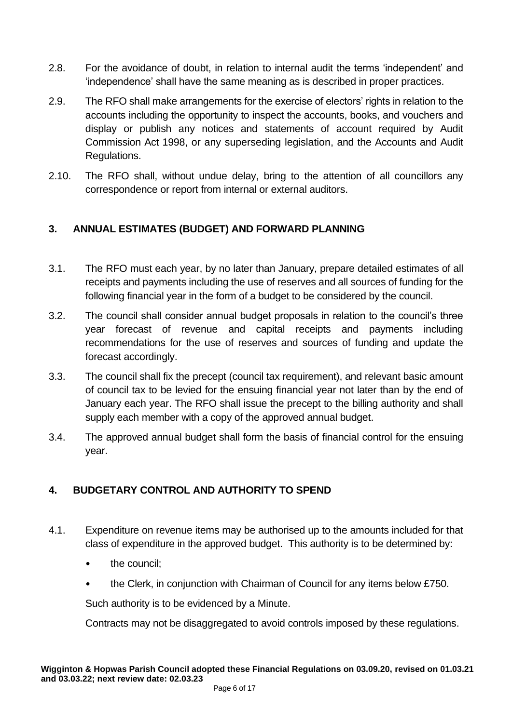- 2.8. For the avoidance of doubt, in relation to internal audit the terms 'independent' and 'independence' shall have the same meaning as is described in proper practices.
- 2.9. The RFO shall make arrangements for the exercise of electors' rights in relation to the accounts including the opportunity to inspect the accounts, books, and vouchers and display or publish any notices and statements of account required by Audit Commission Act 1998, or any superseding legislation, and the Accounts and Audit Regulations.
- 2.10. The RFO shall, without undue delay, bring to the attention of all councillors any correspondence or report from internal or external auditors.

## <span id="page-5-0"></span>**3. ANNUAL ESTIMATES (BUDGET) AND FORWARD PLANNING**

- 3.1. The RFO must each year, by no later than January, prepare detailed estimates of all receipts and payments including the use of reserves and all sources of funding for the following financial year in the form of a budget to be considered by the council.
- 3.2. The council shall consider annual budget proposals in relation to the council's three year forecast of revenue and capital receipts and payments including recommendations for the use of reserves and sources of funding and update the forecast accordingly.
- 3.3. The council shall fix the precept (council tax requirement), and relevant basic amount of council tax to be levied for the ensuing financial year not later than by the end of January each year. The RFO shall issue the precept to the billing authority and shall supply each member with a copy of the approved annual budget.
- 3.4. The approved annual budget shall form the basis of financial control for the ensuing year.

## <span id="page-5-1"></span>**4. BUDGETARY CONTROL AND AUTHORITY TO SPEND**

- 4.1. Expenditure on revenue items may be authorised up to the amounts included for that class of expenditure in the approved budget. This authority is to be determined by:
	- the council:
	- the Clerk, in conjunction with Chairman of Council for any items below £750.

Such authority is to be evidenced by a Minute.

Contracts may not be disaggregated to avoid controls imposed by these regulations.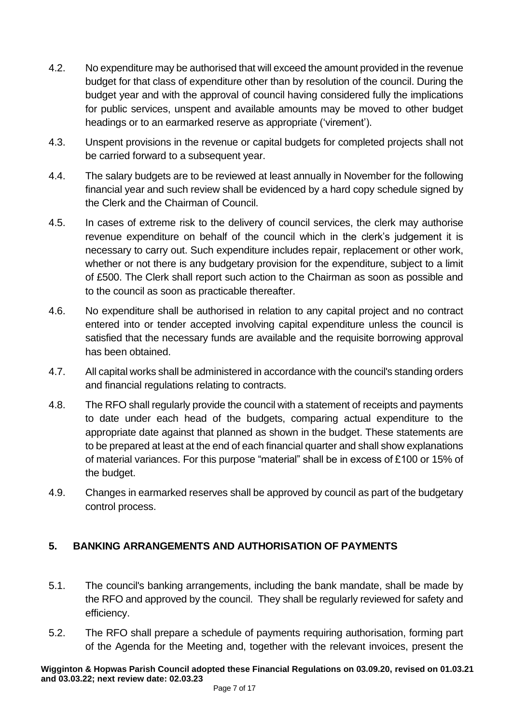- 4.2. No expenditure may be authorised that will exceed the amount provided in the revenue budget for that class of expenditure other than by resolution of the council. During the budget year and with the approval of council having considered fully the implications for public services, unspent and available amounts may be moved to other budget headings or to an earmarked reserve as appropriate ('virement').
- 4.3. Unspent provisions in the revenue or capital budgets for completed projects shall not be carried forward to a subsequent year.
- 4.4. The salary budgets are to be reviewed at least annually in November for the following financial year and such review shall be evidenced by a hard copy schedule signed by the Clerk and the Chairman of Council.
- 4.5. In cases of extreme risk to the delivery of council services, the clerk may authorise revenue expenditure on behalf of the council which in the clerk's judgement it is necessary to carry out. Such expenditure includes repair, replacement or other work, whether or not there is any budgetary provision for the expenditure, subject to a limit of £500. The Clerk shall report such action to the Chairman as soon as possible and to the council as soon as practicable thereafter.
- 4.6. No expenditure shall be authorised in relation to any capital project and no contract entered into or tender accepted involving capital expenditure unless the council is satisfied that the necessary funds are available and the requisite borrowing approval has been obtained.
- 4.7. All capital works shall be administered in accordance with the council's standing orders and financial regulations relating to contracts.
- 4.8. The RFO shall regularly provide the council with a statement of receipts and payments to date under each head of the budgets, comparing actual expenditure to the appropriate date against that planned as shown in the budget. These statements are to be prepared at least at the end of each financial quarter and shall show explanations of material variances. For this purpose "material" shall be in excess of £100 or 15% of the budget.
- 4.9. Changes in earmarked reserves shall be approved by council as part of the budgetary control process.

## <span id="page-6-0"></span>**5. BANKING ARRANGEMENTS AND AUTHORISATION OF PAYMENTS**

- 5.1. The council's banking arrangements, including the bank mandate, shall be made by the RFO and approved by the council. They shall be regularly reviewed for safety and efficiency.
- 5.2. The RFO shall prepare a schedule of payments requiring authorisation, forming part of the Agenda for the Meeting and, together with the relevant invoices, present the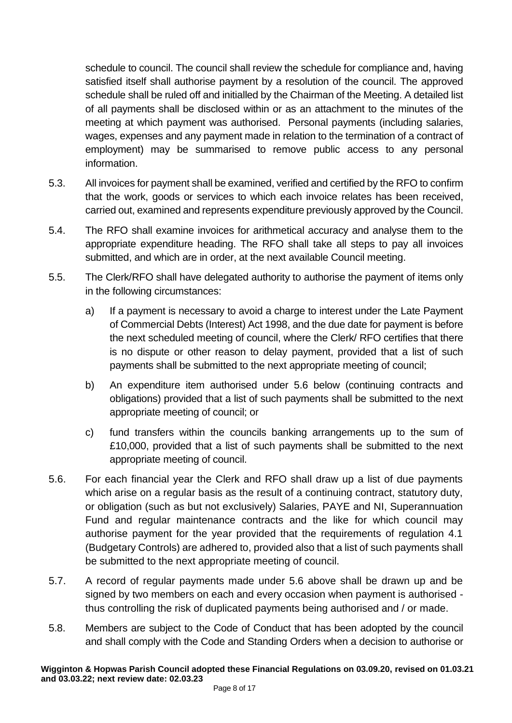schedule to council. The council shall review the schedule for compliance and, having satisfied itself shall authorise payment by a resolution of the council. The approved schedule shall be ruled off and initialled by the Chairman of the Meeting. A detailed list of all payments shall be disclosed within or as an attachment to the minutes of the meeting at which payment was authorised. Personal payments (including salaries, wages, expenses and any payment made in relation to the termination of a contract of employment) may be summarised to remove public access to any personal information.

- 5.3. All invoices for payment shall be examined, verified and certified by the RFO to confirm that the work, goods or services to which each invoice relates has been received, carried out, examined and represents expenditure previously approved by the Council.
- 5.4. The RFO shall examine invoices for arithmetical accuracy and analyse them to the appropriate expenditure heading. The RFO shall take all steps to pay all invoices submitted, and which are in order, at the next available Council meeting.
- 5.5. The Clerk/RFO shall have delegated authority to authorise the payment of items only in the following circumstances:
	- a) If a payment is necessary to avoid a charge to interest under the Late Payment of Commercial Debts (Interest) Act 1998, and the due date for payment is before the next scheduled meeting of council, where the Clerk/ RFO certifies that there is no dispute or other reason to delay payment, provided that a list of such payments shall be submitted to the next appropriate meeting of council;
	- b) An expenditure item authorised under 5.6 below (continuing contracts and obligations) provided that a list of such payments shall be submitted to the next appropriate meeting of council; or
	- c) fund transfers within the councils banking arrangements up to the sum of £10,000, provided that a list of such payments shall be submitted to the next appropriate meeting of council.
- 5.6. For each financial year the Clerk and RFO shall draw up a list of due payments which arise on a regular basis as the result of a continuing contract, statutory duty, or obligation (such as but not exclusively) Salaries, PAYE and NI, Superannuation Fund and regular maintenance contracts and the like for which council may authorise payment for the year provided that the requirements of regulation 4.1 (Budgetary Controls) are adhered to, provided also that a list of such payments shall be submitted to the next appropriate meeting of council.
- 5.7. A record of regular payments made under 5.6 above shall be drawn up and be signed by two members on each and every occasion when payment is authorised thus controlling the risk of duplicated payments being authorised and / or made.
- 5.8. Members are subject to the Code of Conduct that has been adopted by the council and shall comply with the Code and Standing Orders when a decision to authorise or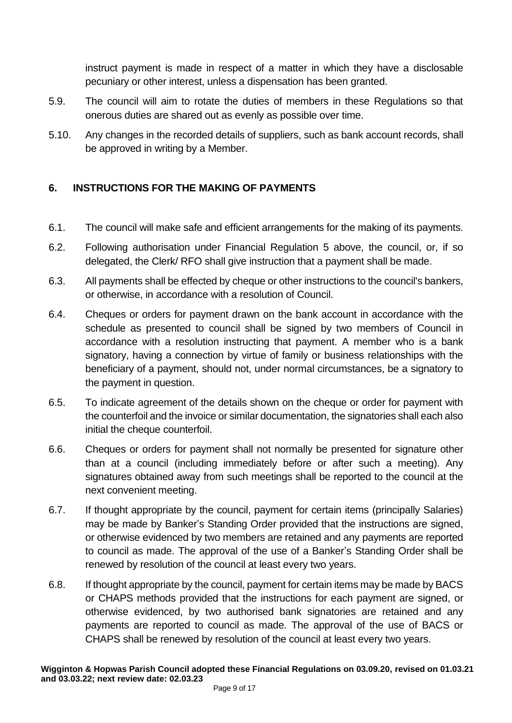instruct payment is made in respect of a matter in which they have a disclosable pecuniary or other interest, unless a dispensation has been granted.

- 5.9. The council will aim to rotate the duties of members in these Regulations so that onerous duties are shared out as evenly as possible over time.
- 5.10. Any changes in the recorded details of suppliers, such as bank account records, shall be approved in writing by a Member.

## <span id="page-8-0"></span>**6. INSTRUCTIONS FOR THE MAKING OF PAYMENTS**

- 6.1. The council will make safe and efficient arrangements for the making of its payments.
- 6.2. Following authorisation under Financial Regulation 5 above, the council, or, if so delegated, the Clerk/ RFO shall give instruction that a payment shall be made.
- 6.3. All payments shall be effected by cheque or other instructions to the council's bankers, or otherwise, in accordance with a resolution of Council.
- 6.4. Cheques or orders for payment drawn on the bank account in accordance with the schedule as presented to council shall be signed by two members of Council in accordance with a resolution instructing that payment. A member who is a bank signatory, having a connection by virtue of family or business relationships with the beneficiary of a payment, should not, under normal circumstances, be a signatory to the payment in question.
- 6.5. To indicate agreement of the details shown on the cheque or order for payment with the counterfoil and the invoice or similar documentation, the signatories shall each also initial the cheque counterfoil.
- 6.6. Cheques or orders for payment shall not normally be presented for signature other than at a council (including immediately before or after such a meeting). Any signatures obtained away from such meetings shall be reported to the council at the next convenient meeting.
- 6.7. If thought appropriate by the council, payment for certain items (principally Salaries) may be made by Banker's Standing Order provided that the instructions are signed, or otherwise evidenced by two members are retained and any payments are reported to council as made. The approval of the use of a Banker's Standing Order shall be renewed by resolution of the council at least every two years.
- 6.8. If thought appropriate by the council, payment for certain items may be made by BACS or CHAPS methods provided that the instructions for each payment are signed, or otherwise evidenced, by two authorised bank signatories are retained and any payments are reported to council as made. The approval of the use of BACS or CHAPS shall be renewed by resolution of the council at least every two years.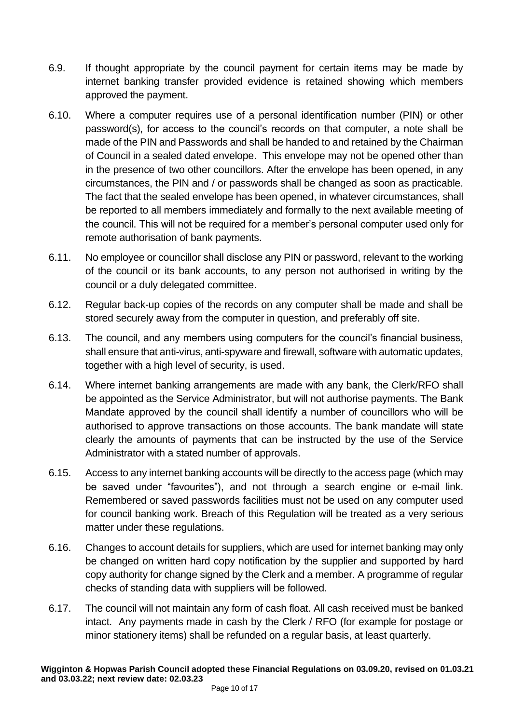- 6.9. If thought appropriate by the council payment for certain items may be made by internet banking transfer provided evidence is retained showing which members approved the payment.
- 6.10. Where a computer requires use of a personal identification number (PIN) or other password(s), for access to the council's records on that computer, a note shall be made of the PIN and Passwords and shall be handed to and retained by the Chairman of Council in a sealed dated envelope. This envelope may not be opened other than in the presence of two other councillors. After the envelope has been opened, in any circumstances, the PIN and / or passwords shall be changed as soon as practicable. The fact that the sealed envelope has been opened, in whatever circumstances, shall be reported to all members immediately and formally to the next available meeting of the council. This will not be required for a member's personal computer used only for remote authorisation of bank payments.
- 6.11. No employee or councillor shall disclose any PIN or password, relevant to the working of the council or its bank accounts, to any person not authorised in writing by the council or a duly delegated committee.
- 6.12. Regular back-up copies of the records on any computer shall be made and shall be stored securely away from the computer in question, and preferably off site.
- 6.13. The council, and any members using computers for the council's financial business, shall ensure that anti-virus, anti-spyware and firewall, software with automatic updates, together with a high level of security, is used.
- 6.14. Where internet banking arrangements are made with any bank, the Clerk/RFO shall be appointed as the Service Administrator, but will not authorise payments. The Bank Mandate approved by the council shall identify a number of councillors who will be authorised to approve transactions on those accounts. The bank mandate will state clearly the amounts of payments that can be instructed by the use of the Service Administrator with a stated number of approvals.
- 6.15. Access to any internet banking accounts will be directly to the access page (which may be saved under "favourites"), and not through a search engine or e-mail link. Remembered or saved passwords facilities must not be used on any computer used for council banking work. Breach of this Regulation will be treated as a very serious matter under these regulations.
- 6.16. Changes to account details for suppliers, which are used for internet banking may only be changed on written hard copy notification by the supplier and supported by hard copy authority for change signed by the Clerk and a member. A programme of regular checks of standing data with suppliers will be followed.
- 6.17. The council will not maintain any form of cash float. All cash received must be banked intact. Any payments made in cash by the Clerk / RFO (for example for postage or minor stationery items) shall be refunded on a regular basis, at least quarterly.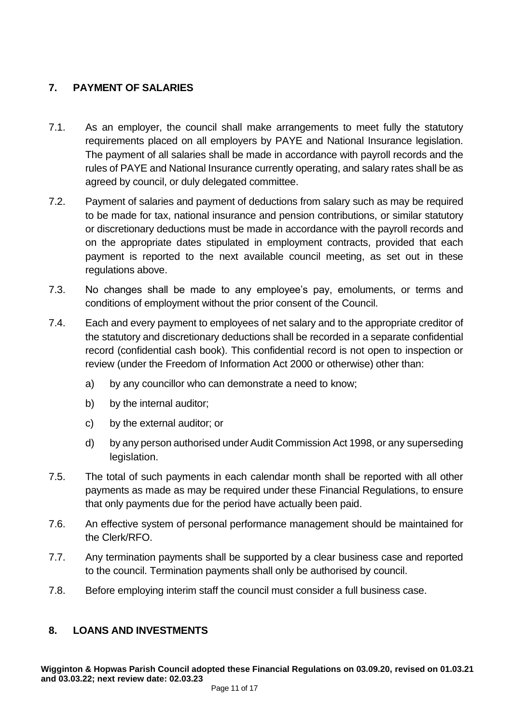## <span id="page-10-0"></span>**7. PAYMENT OF SALARIES**

- 7.1. As an employer, the council shall make arrangements to meet fully the statutory requirements placed on all employers by PAYE and National Insurance legislation. The payment of all salaries shall be made in accordance with payroll records and the rules of PAYE and National Insurance currently operating, and salary rates shall be as agreed by council, or duly delegated committee.
- 7.2. Payment of salaries and payment of deductions from salary such as may be required to be made for tax, national insurance and pension contributions, or similar statutory or discretionary deductions must be made in accordance with the payroll records and on the appropriate dates stipulated in employment contracts, provided that each payment is reported to the next available council meeting, as set out in these regulations above.
- 7.3. No changes shall be made to any employee's pay, emoluments, or terms and conditions of employment without the prior consent of the Council.
- 7.4. Each and every payment to employees of net salary and to the appropriate creditor of the statutory and discretionary deductions shall be recorded in a separate confidential record (confidential cash book). This confidential record is not open to inspection or review (under the Freedom of Information Act 2000 or otherwise) other than:
	- a) by any councillor who can demonstrate a need to know;
	- b) by the internal auditor;
	- c) by the external auditor; or
	- d) by any person authorised under Audit Commission Act 1998, or any superseding legislation.
- 7.5. The total of such payments in each calendar month shall be reported with all other payments as made as may be required under these Financial Regulations, to ensure that only payments due for the period have actually been paid.
- 7.6. An effective system of personal performance management should be maintained for the Clerk/RFO.
- 7.7. Any termination payments shall be supported by a clear business case and reported to the council. Termination payments shall only be authorised by council.
- 7.8. Before employing interim staff the council must consider a full business case.

## <span id="page-10-1"></span>**8. LOANS AND INVESTMENTS**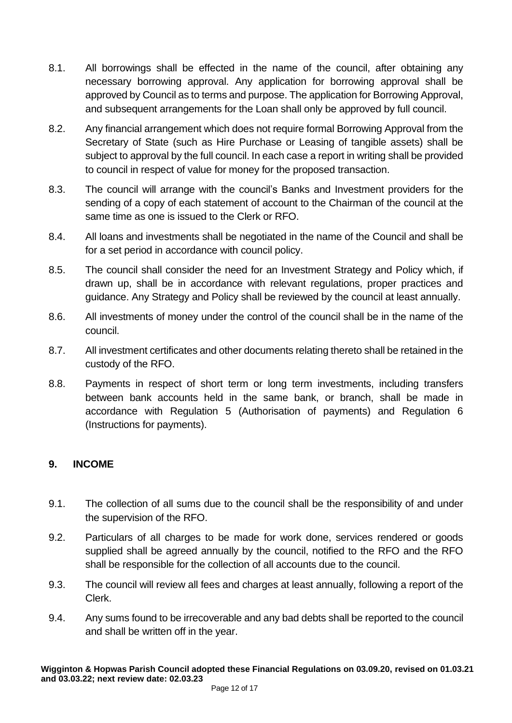- 8.1. All borrowings shall be effected in the name of the council, after obtaining any necessary borrowing approval. Any application for borrowing approval shall be approved by Council as to terms and purpose. The application for Borrowing Approval, and subsequent arrangements for the Loan shall only be approved by full council.
- 8.2. Any financial arrangement which does not require formal Borrowing Approval from the Secretary of State (such as Hire Purchase or Leasing of tangible assets) shall be subject to approval by the full council. In each case a report in writing shall be provided to council in respect of value for money for the proposed transaction.
- 8.3. The council will arrange with the council's Banks and Investment providers for the sending of a copy of each statement of account to the Chairman of the council at the same time as one is issued to the Clerk or RFO.
- 8.4. All loans and investments shall be negotiated in the name of the Council and shall be for a set period in accordance with council policy.
- 8.5. The council shall consider the need for an Investment Strategy and Policy which, if drawn up, shall be in accordance with relevant regulations, proper practices and guidance. Any Strategy and Policy shall be reviewed by the council at least annually.
- 8.6. All investments of money under the control of the council shall be in the name of the council.
- 8.7. All investment certificates and other documents relating thereto shall be retained in the custody of the RFO.
- 8.8. Payments in respect of short term or long term investments, including transfers between bank accounts held in the same bank, or branch, shall be made in accordance with Regulation 5 (Authorisation of payments) and Regulation 6 (Instructions for payments).

#### <span id="page-11-0"></span>**9. INCOME**

- 9.1. The collection of all sums due to the council shall be the responsibility of and under the supervision of the RFO.
- 9.2. Particulars of all charges to be made for work done, services rendered or goods supplied shall be agreed annually by the council, notified to the RFO and the RFO shall be responsible for the collection of all accounts due to the council.
- 9.3. The council will review all fees and charges at least annually, following a report of the Clerk.
- 9.4. Any sums found to be irrecoverable and any bad debts shall be reported to the council and shall be written off in the year.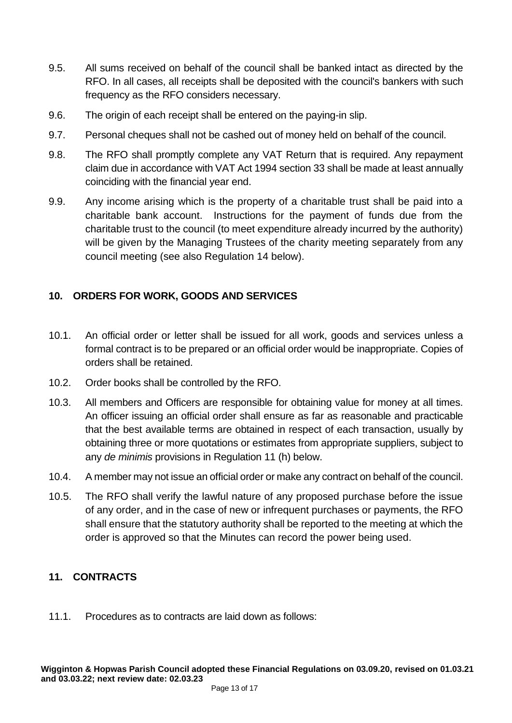- 9.5. All sums received on behalf of the council shall be banked intact as directed by the RFO. In all cases, all receipts shall be deposited with the council's bankers with such frequency as the RFO considers necessary.
- 9.6. The origin of each receipt shall be entered on the paying-in slip.
- 9.7. Personal cheques shall not be cashed out of money held on behalf of the council.
- 9.8. The RFO shall promptly complete any VAT Return that is required. Any repayment claim due in accordance with VAT Act 1994 section 33 shall be made at least annually coinciding with the financial year end.
- 9.9. Any income arising which is the property of a charitable trust shall be paid into a charitable bank account. Instructions for the payment of funds due from the charitable trust to the council (to meet expenditure already incurred by the authority) will be given by the Managing Trustees of the charity meeting separately from any council meeting (see also Regulation 14 below).

#### <span id="page-12-0"></span>**10. ORDERS FOR WORK, GOODS AND SERVICES**

- 10.1. An official order or letter shall be issued for all work, goods and services unless a formal contract is to be prepared or an official order would be inappropriate. Copies of orders shall be retained.
- 10.2. Order books shall be controlled by the RFO.
- 10.3. All members and Officers are responsible for obtaining value for money at all times. An officer issuing an official order shall ensure as far as reasonable and practicable that the best available terms are obtained in respect of each transaction, usually by obtaining three or more quotations or estimates from appropriate suppliers, subject to any *de minimis* provisions in Regulation 11 (h) below.
- 10.4. A member may not issue an official order or make any contract on behalf of the council.
- 10.5. The RFO shall verify the lawful nature of any proposed purchase before the issue of any order, and in the case of new or infrequent purchases or payments, the RFO shall ensure that the statutory authority shall be reported to the meeting at which the order is approved so that the Minutes can record the power being used.

#### <span id="page-12-1"></span>**11. CONTRACTS**

11.1. Procedures as to contracts are laid down as follows: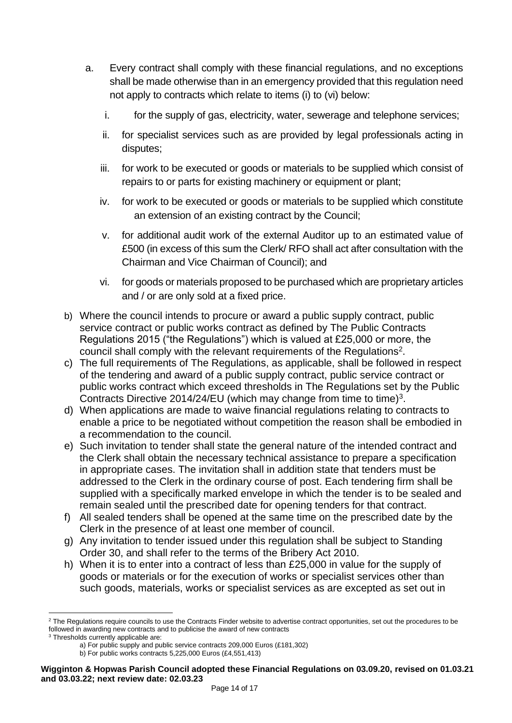- a. Every contract shall comply with these financial regulations, and no exceptions shall be made otherwise than in an emergency provided that this regulation need not apply to contracts which relate to items (i) to (vi) below:
	- i. for the supply of gas, electricity, water, sewerage and telephone services;
	- ii. for specialist services such as are provided by legal professionals acting in disputes;
	- iii. for work to be executed or goods or materials to be supplied which consist of repairs to or parts for existing machinery or equipment or plant;
	- iv. for work to be executed or goods or materials to be supplied which constitute an extension of an existing contract by the Council;
	- v. for additional audit work of the external Auditor up to an estimated value of £500 (in excess of this sum the Clerk/ RFO shall act after consultation with the Chairman and Vice Chairman of Council); and
	- vi. for goods or materials proposed to be purchased which are proprietary articles and / or are only sold at a fixed price.
- b) Where the council intends to procure or award a public supply contract, public service contract or public works contract as defined by The Public Contracts Regulations 2015 ("the Regulations") which is valued at £25,000 or more, the council shall comply with the relevant requirements of the Regulations<sup>2</sup>.
- c) The full requirements of The Regulations, as applicable, shall be followed in respect of the tendering and award of a public supply contract, public service contract or public works contract which exceed thresholds in The Regulations set by the Public Contracts Directive 2014/24/EU (which may change from time to time)<sup>3</sup>.
- d) When applications are made to waive financial regulations relating to contracts to enable a price to be negotiated without competition the reason shall be embodied in a recommendation to the council.
- e) Such invitation to tender shall state the general nature of the intended contract and the Clerk shall obtain the necessary technical assistance to prepare a specification in appropriate cases. The invitation shall in addition state that tenders must be addressed to the Clerk in the ordinary course of post. Each tendering firm shall be supplied with a specifically marked envelope in which the tender is to be sealed and remain sealed until the prescribed date for opening tenders for that contract.
- f) All sealed tenders shall be opened at the same time on the prescribed date by the Clerk in the presence of at least one member of council.
- g) Any invitation to tender issued under this regulation shall be subject to Standing Order 30, and shall refer to the terms of the Bribery Act 2010.
- h) When it is to enter into a contract of less than £25,000 in value for the supply of goods or materials or for the execution of works or specialist services other than such goods, materials, works or specialist services as are excepted as set out in

<sup>&</sup>lt;sup>2</sup> The Regulations require councils to use the Contracts Finder website to advertise contract opportunities, set out the procedures to be followed in awarding new contracts and to publicise the award of new contracts

<sup>&</sup>lt;sup>3</sup> Thresholds currently applicable are:

a) For public supply and public service contracts 209,000 Euros (£181,302)

b) For public works contracts 5,225,000 Euros (£4,551,413)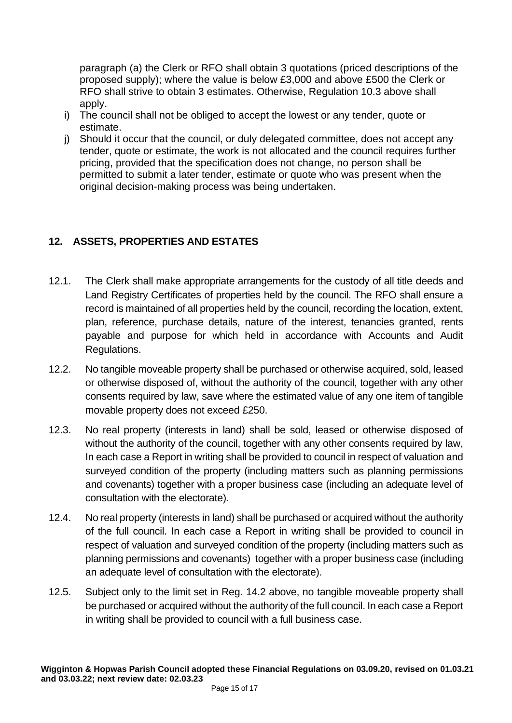paragraph (a) the Clerk or RFO shall obtain 3 quotations (priced descriptions of the proposed supply); where the value is below £3,000 and above £500 the Clerk or RFO shall strive to obtain 3 estimates. Otherwise, Regulation 10.3 above shall apply.

- i) The council shall not be obliged to accept the lowest or any tender, quote or estimate.
- j) Should it occur that the council, or duly delegated committee, does not accept any tender, quote or estimate, the work is not allocated and the council requires further pricing, provided that the specification does not change, no person shall be permitted to submit a later tender, estimate or quote who was present when the original decision-making process was being undertaken.

## <span id="page-14-0"></span>**12. ASSETS, PROPERTIES AND ESTATES**

- 12.1. The Clerk shall make appropriate arrangements for the custody of all title deeds and Land Registry Certificates of properties held by the council. The RFO shall ensure a record is maintained of all properties held by the council, recording the location, extent, plan, reference, purchase details, nature of the interest, tenancies granted, rents payable and purpose for which held in accordance with Accounts and Audit Regulations.
- 12.2. No tangible moveable property shall be purchased or otherwise acquired, sold, leased or otherwise disposed of, without the authority of the council, together with any other consents required by law, save where the estimated value of any one item of tangible movable property does not exceed £250.
- 12.3. No real property (interests in land) shall be sold, leased or otherwise disposed of without the authority of the council, together with any other consents required by law, In each case a Report in writing shall be provided to council in respect of valuation and surveyed condition of the property (including matters such as planning permissions and covenants) together with a proper business case (including an adequate level of consultation with the electorate).
- 12.4. No real property (interests in land) shall be purchased or acquired without the authority of the full council. In each case a Report in writing shall be provided to council in respect of valuation and surveyed condition of the property (including matters such as planning permissions and covenants) together with a proper business case (including an adequate level of consultation with the electorate).
- 12.5. Subject only to the limit set in Reg. 14.2 above, no tangible moveable property shall be purchased or acquired without the authority of the full council. In each case a Report in writing shall be provided to council with a full business case.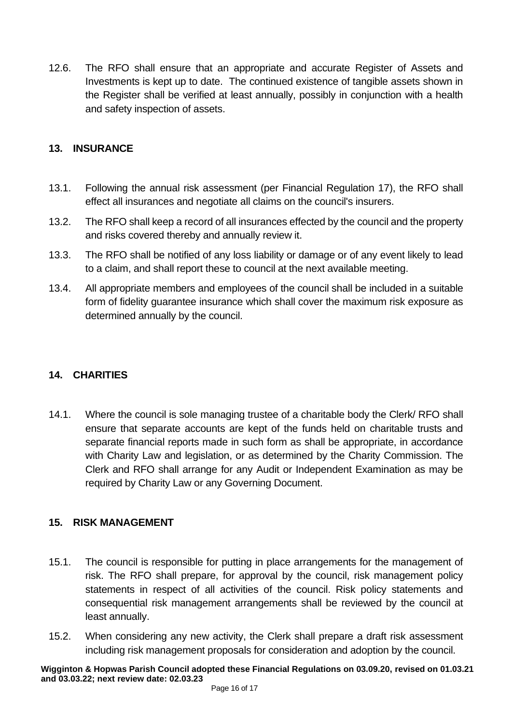12.6. The RFO shall ensure that an appropriate and accurate Register of Assets and Investments is kept up to date. The continued existence of tangible assets shown in the Register shall be verified at least annually, possibly in conjunction with a health and safety inspection of assets.

#### <span id="page-15-0"></span>**13. INSURANCE**

- 13.1. Following the annual risk assessment (per Financial Regulation 17), the RFO shall effect all insurances and negotiate all claims on the council's insurers.
- 13.2. The RFO shall keep a record of all insurances effected by the council and the property and risks covered thereby and annually review it.
- 13.3. The RFO shall be notified of any loss liability or damage or of any event likely to lead to a claim, and shall report these to council at the next available meeting.
- 13.4. All appropriate members and employees of the council shall be included in a suitable form of fidelity guarantee insurance which shall cover the maximum risk exposure as determined annually by the council.

## <span id="page-15-1"></span>**14. CHARITIES**

14.1. Where the council is sole managing trustee of a charitable body the Clerk/ RFO shall ensure that separate accounts are kept of the funds held on charitable trusts and separate financial reports made in such form as shall be appropriate, in accordance with Charity Law and legislation, or as determined by the Charity Commission. The Clerk and RFO shall arrange for any Audit or Independent Examination as may be required by Charity Law or any Governing Document.

#### <span id="page-15-2"></span>**15. RISK MANAGEMENT**

- 15.1. The council is responsible for putting in place arrangements for the management of risk. The RFO shall prepare, for approval by the council, risk management policy statements in respect of all activities of the council. Risk policy statements and consequential risk management arrangements shall be reviewed by the council at least annually.
- <span id="page-15-3"></span>15.2. When considering any new activity, the Clerk shall prepare a draft risk assessment including risk management proposals for consideration and adoption by the council.